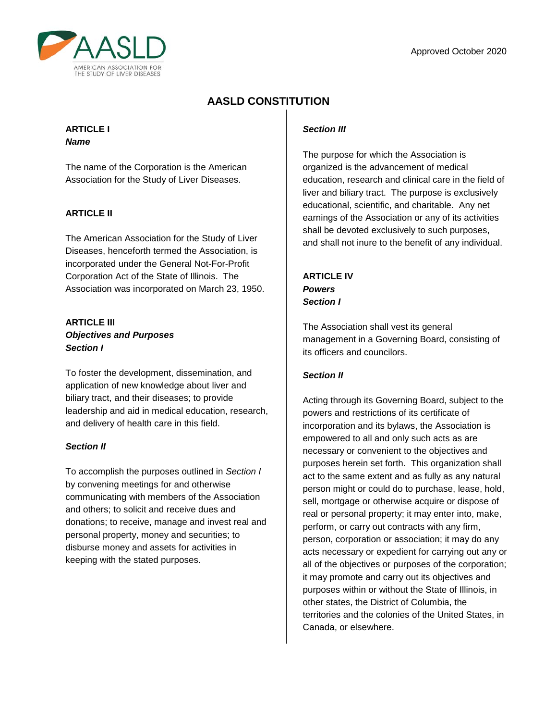

# **AASLD CONSTITUTION**

### **ARTICLE I** *Name*

The name of the Corporation is the American Association for the Study of Liver Diseases.

## **ARTICLE II**

The American Association for the Study of Liver Diseases, henceforth termed the Association, is incorporated under the General Not-For-Profit Corporation Act of the State of Illinois. The Association was incorporated on March 23, 1950.

## **ARTICLE III** *Objectives and Purposes Section I*

To foster the development, dissemination, and application of new knowledge about liver and biliary tract, and their diseases; to provide leadership and aid in medical education, research, and delivery of health care in this field.

## *Section II*

To accomplish the purposes outlined in *Section I* by convening meetings for and otherwise communicating with members of the Association and others; to solicit and receive dues and donations; to receive, manage and invest real and personal property, money and securities; to disburse money and assets for activities in keeping with the stated purposes.

## *Section III*

The purpose for which the Association is organized is the advancement of medical education, research and clinical care in the field of liver and biliary tract. The purpose is exclusively educational, scientific, and charitable. Any net earnings of the Association or any of its activities shall be devoted exclusively to such purposes, and shall not inure to the benefit of any individual.

**ARTICLE IV** *Powers Section I*

The Association shall vest its general management in a Governing Board, consisting of its officers and councilors.

## *Section II*

Acting through its Governing Board, subject to the powers and restrictions of its certificate of incorporation and its bylaws, the Association is empowered to all and only such acts as are necessary or convenient to the objectives and purposes herein set forth. This organization shall act to the same extent and as fully as any natural person might or could do to purchase, lease, hold, sell, mortgage or otherwise acquire or dispose of real or personal property; it may enter into, make, perform, or carry out contracts with any firm, person, corporation or association; it may do any acts necessary or expedient for carrying out any or all of the objectives or purposes of the corporation; it may promote and carry out its objectives and purposes within or without the State of Illinois, in other states, the District of Columbia, the territories and the colonies of the United States, in Canada, or elsewhere.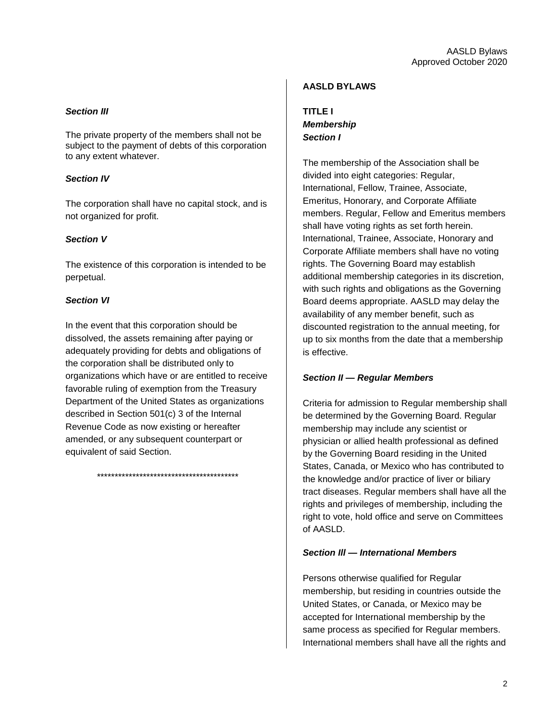#### *Section III*

The private property of the members shall not be subject to the payment of debts of this corporation to any extent whatever.

#### *Section IV*

The corporation shall have no capital stock, and is not organized for profit.

#### *Section V*

The existence of this corporation is intended to be perpetual.

#### *Section VI*

In the event that this corporation should be dissolved, the assets remaining after paying or adequately providing for debts and obligations of the corporation shall be distributed only to organizations which have or are entitled to receive favorable ruling of exemption from the Treasury Department of the United States as organizations described in Section 501(c) 3 of the Internal Revenue Code as now existing or hereafter amended, or any subsequent counterpart or equivalent of said Section.

\*\*\*\*\*\*\*\*\*\*\*\*\*\*\*\*\*\*\*\*\*\*\*\*\*\*\*\*\*\*\*\*\*\*\*\*\*\*\*\*

#### **AASLD BYLAWS**

**TITLE I** *Membership Section I*

The membership of the Association shall be divided into eight categories: Regular, International, Fellow, Trainee, Associate, Emeritus, Honorary, and Corporate Affiliate members. Regular, Fellow and Emeritus members shall have voting rights as set forth herein. International, Trainee, Associate, Honorary and Corporate Affiliate members shall have no voting rights. The Governing Board may establish additional membership categories in its discretion, with such rights and obligations as the Governing Board deems appropriate. AASLD may delay the availability of any member benefit, such as discounted registration to the annual meeting, for up to six months from the date that a membership is effective.

#### *Section II* **—** *Regular Members*

Criteria for admission to Regular membership shall be determined by the Governing Board. Regular membership may include any scientist or physician or allied health professional as defined by the Governing Board residing in the United States, Canada, or Mexico who has contributed to the knowledge and/or practice of liver or biliary tract diseases. Regular members shall have all the rights and privileges of membership, including the right to vote, hold office and serve on Committees of AASLD.

#### *Section Ill* **—** *International Members*

Persons otherwise qualified for Regular membership, but residing in countries outside the United States, or Canada, or Mexico may be accepted for International membership by the same process as specified for Regular members. International members shall have all the rights and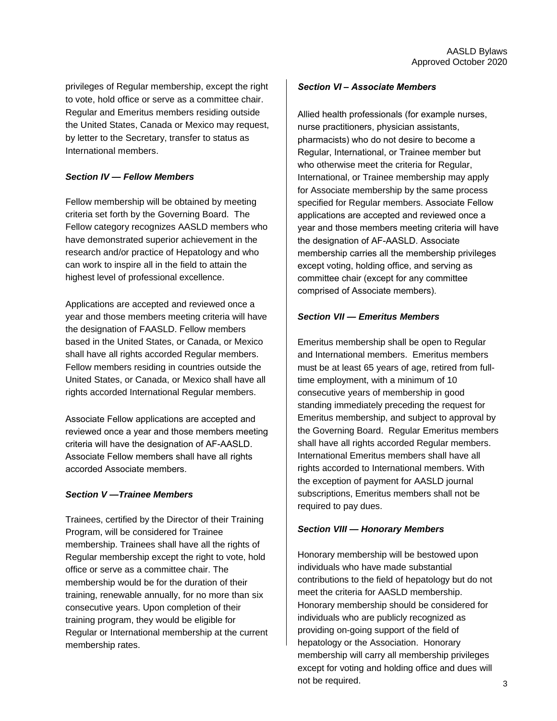privileges of Regular membership, except the right to vote, hold office or serve as a committee chair. Regular and Emeritus members residing outside the United States, Canada or Mexico may request, by letter to the Secretary, transfer to status as International members.

### *Section IV* **—** *Fellow Members*

Fellow membership will be obtained by meeting criteria set forth by the Governing Board. The Fellow category recognizes AASLD members who have demonstrated superior achievement in the research and/or practice of Hepatology and who can work to inspire all in the field to attain the highest level of professional excellence.

Applications are accepted and reviewed once a year and those members meeting criteria will have the designation of FAASLD. Fellow members based in the United States, or Canada, or Mexico shall have all rights accorded Regular members. Fellow members residing in countries outside the United States, or Canada, or Mexico shall have all rights accorded International Regular members.

Associate Fellow applications are accepted and reviewed once a year and those members meeting criteria will have the designation of AF-AASLD. Associate Fellow members shall have all rights accorded Associate members.

## *Section V —Trainee Members*

Trainees, certified by the Director of their Training Program, will be considered for Trainee membership. Trainees shall have all the rights of Regular membership except the right to vote, hold office or serve as a committee chair. The membership would be for the duration of their training, renewable annually, for no more than six consecutive years. Upon completion of their training program, they would be eligible for Regular or International membership at the current membership rates.

#### *Section VI – Associate Members*

Allied health professionals (for example nurses, nurse practitioners, physician assistants, pharmacists) who do not desire to become a Regular, International, or Trainee member but who otherwise meet the criteria for Regular, International, or Trainee membership may apply for Associate membership by the same process specified for Regular members. Associate Fellow applications are accepted and reviewed once a year and those members meeting criteria will have the designation of AF-AASLD. Associate membership carries all the membership privileges except voting, holding office, and serving as committee chair (except for any committee comprised of Associate members).

#### *Section VII* **—** *Emeritus Members*

Emeritus membership shall be open to Regular and International members. Emeritus members must be at least 65 years of age, retired from fulltime employment, with a minimum of 10 consecutive years of membership in good standing immediately preceding the request for Emeritus membership, and subject to approval by the Governing Board. Regular Emeritus members shall have all rights accorded Regular members. International Emeritus members shall have all rights accorded to International members. With the exception of payment for AASLD journal subscriptions, Emeritus members shall not be required to pay dues.

#### *Section VIII — Honorary Members*

Honorary membership will be bestowed upon individuals who have made substantial contributions to the field of hepatology but do not meet the criteria for AASLD membership. Honorary membership should be considered for individuals who are publicly recognized as providing on-going support of the field of hepatology or the Association. Honorary membership will carry all membership privileges except for voting and holding office and dues will not be required.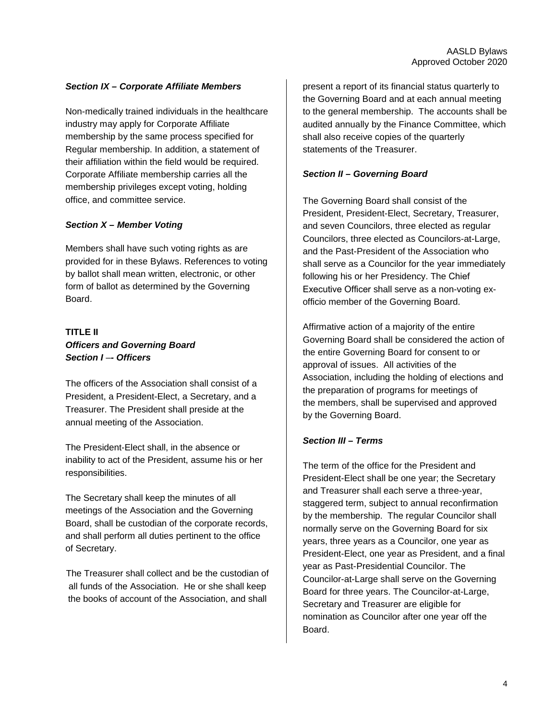#### *Section IX – Corporate Affiliate Members*

Non-medically trained individuals in the healthcare industry may apply for Corporate Affiliate membership by the same process specified for Regular membership. In addition, a statement of their affiliation within the field would be required. Corporate Affiliate membership carries all the membership privileges except voting, holding office, and committee service.

#### *Section X – Member Voting*

Members shall have such voting rights as are provided for in these Bylaws. References to voting by ballot shall mean written, electronic, or other form of ballot as determined by the Governing Board.

## **TITLE II** *Officers and Governing Board Section I* –*- Officers*

The officers of the Association shall consist of a President, a President-Elect, a Secretary, and a Treasurer. The President shall preside at the annual meeting of the Association.

The President-Elect shall, in the absence or inability to act of the President, assume his or her responsibilities.

The Secretary shall keep the minutes of all meetings of the Association and the Governing Board, shall be custodian of the corporate records, and shall perform all duties pertinent to the office of Secretary.

The Treasurer shall collect and be the custodian of all funds of the Association. He or she shall keep the books of account of the Association, and shall

present a report of its financial status quarterly to the Governing Board and at each annual meeting to the general membership. The accounts shall be audited annually by the Finance Committee, which shall also receive copies of the quarterly statements of the Treasurer.

#### *Section II – Governing Board*

The Governing Board shall consist of the President, President-Elect, Secretary, Treasurer, and seven Councilors, three elected as regular Councilors, three elected as Councilors-at-Large, and the Past-President of the Association who shall serve as a Councilor for the year immediately following his or her Presidency. The Chief Executive Officer shall serve as a non-voting exofficio member of the Governing Board.

Affirmative action of a majority of the entire Governing Board shall be considered the action of the entire Governing Board for consent to or approval of issues. All activities of the Association, including the holding of elections and the preparation of programs for meetings of the members, shall be supervised and approved by the Governing Board.

#### *Section III – Terms*

The term of the office for the President and President-Elect shall be one year; the Secretary and Treasurer shall each serve a three-year, staggered term, subject to annual reconfirmation by the membership. The regular Councilor shall normally serve on the Governing Board for six years, three years as a Councilor, one year as President-Elect, one year as President, and a final year as Past-Presidential Councilor. The Councilor-at-Large shall serve on the Governing Board for three years. The Councilor-at-Large, Secretary and Treasurer are eligible for nomination as Councilor after one year off the Board.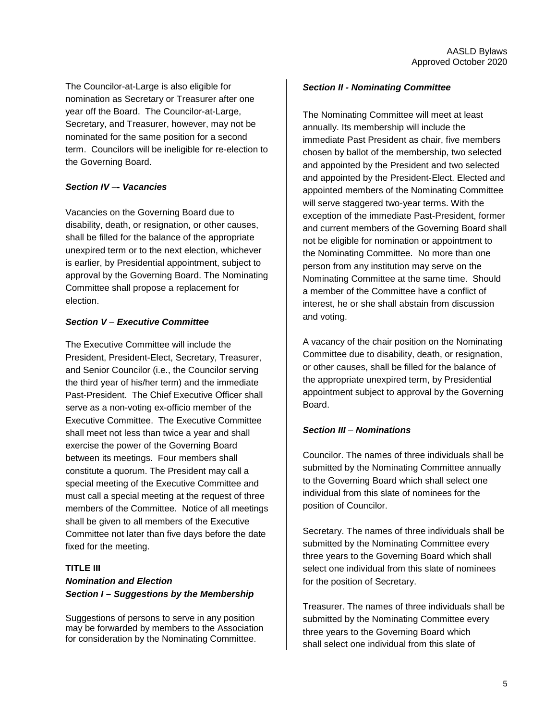The Councilor-at-Large is also eligible for nomination as Secretary or Treasurer after one year off the Board. The Councilor-at-Large, Secretary, and Treasurer, however, may not be nominated for the same position for a second term. Councilors will be ineligible for re-election to the Governing Board.

## *Section IV* –*- Vacancies*

Vacancies on the Governing Board due to disability, death, or resignation, or other causes, shall be filled for the balance of the appropriate unexpired term or to the next election, whichever is earlier, by Presidential appointment, subject to approval by the Governing Board. The Nominating Committee shall propose a replacement for election.

### *Section V* – *Executive Committee*

The Executive Committee will include the President, President-Elect, Secretary, Treasurer, and Senior Councilor (i.e., the Councilor serving the third year of his/her term) and the immediate Past-President. The Chief Executive Officer shall serve as a non-voting ex-officio member of the Executive Committee. The Executive Committee shall meet not less than twice a year and shall exercise the power of the Governing Board between its meetings. Four members shall constitute a quorum. The President may call a special meeting of the Executive Committee and must call a special meeting at the request of three members of the Committee. Notice of all meetings shall be given to all members of the Executive Committee not later than five days before the date fixed for the meeting.

## **TITLE III**  *Nomination and Election Section I – Suggestions by the Membership*

Suggestions of persons to serve in any position may be forwarded by members to the Association for consideration by the Nominating Committee.

#### *Section II - Nominating Committee*

The Nominating Committee will meet at least annually. Its membership will include the immediate Past President as chair, five members chosen by ballot of the membership, two selected and appointed by the President and two selected and appointed by the President-Elect. Elected and appointed members of the Nominating Committee will serve staggered two-year terms. With the exception of the immediate Past-President, former and current members of the Governing Board shall not be eligible for nomination or appointment to the Nominating Committee. No more than one person from any institution may serve on the Nominating Committee at the same time. Should a member of the Committee have a conflict of interest, he or she shall abstain from discussion and voting.

A vacancy of the chair position on the Nominating Committee due to disability, death, or resignation, or other causes, shall be filled for the balance of the appropriate unexpired term, by Presidential appointment subject to approval by the Governing **Board** 

#### *Section III* – *Nominations*

Councilor. The names of three individuals shall be submitted by the Nominating Committee annually to the Governing Board which shall select one individual from this slate of nominees for the position of Councilor.

Secretary. The names of three individuals shall be submitted by the Nominating Committee every three years to the Governing Board which shall select one individual from this slate of nominees for the position of Secretary.

Treasurer. The names of three individuals shall be submitted by the Nominating Committee every three years to the Governing Board which shall select one individual from this slate of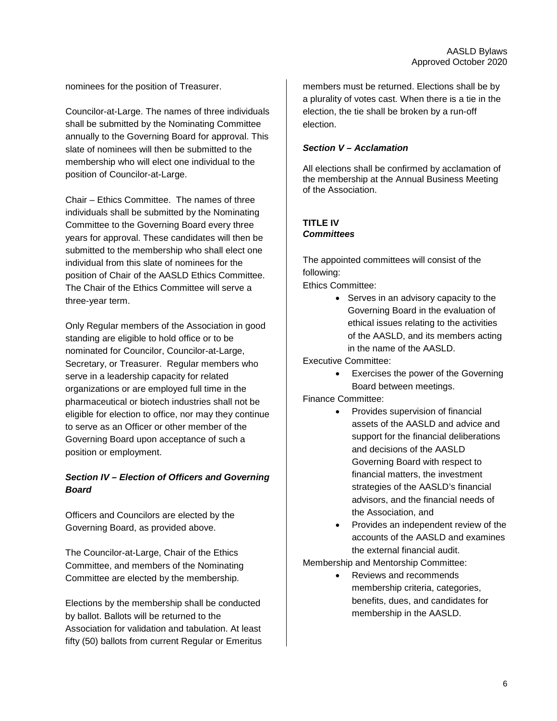nominees for the position of Treasurer.

Councilor-at-Large. The names of three individuals shall be submitted by the Nominating Committee annually to the Governing Board for approval. This slate of nominees will then be submitted to the membership who will elect one individual to the position of Councilor-at-Large.

Chair – Ethics Committee. The names of three individuals shall be submitted by the Nominating Committee to the Governing Board every three years for approval. These candidates will then be submitted to the membership who shall elect one individual from this slate of nominees for the position of Chair of the AASLD Ethics Committee. The Chair of the Ethics Committee will serve a three-year term.

Only Regular members of the Association in good standing are eligible to hold office or to be nominated for Councilor, Councilor-at-Large, Secretary, or Treasurer. Regular members who serve in a leadership capacity for related organizations or are employed full time in the pharmaceutical or biotech industries shall not be eligible for election to office, nor may they continue to serve as an Officer or other member of the Governing Board upon acceptance of such a position or employment.

### *Section IV – Election of Officers and Governing Board*

Officers and Councilors are elected by the Governing Board, as provided above.

The Councilor-at-Large, Chair of the Ethics Committee, and members of the Nominating Committee are elected by the membership.

Elections by the membership shall be conducted by ballot. Ballots will be returned to the Association for validation and tabulation. At least fifty (50) ballots from current Regular or Emeritus members must be returned. Elections shall be by a plurality of votes cast. When there is a tie in the election, the tie shall be broken by a run-off election.

#### *Section V – Acclamation*

All elections shall be confirmed by acclamation of the membership at the Annual Business Meeting of the Association.

### **TITLE IV** *Committees*

The appointed committees will consist of the following:

Ethics Committee:

• Serves in an advisory capacity to the Governing Board in the evaluation of ethical issues relating to the activities of the AASLD, and its members acting in the name of the AASLD.

Executive Committee:

• Exercises the power of the Governing Board between meetings.

Finance Committee:

- Provides supervision of financial assets of the AASLD and advice and support for the financial deliberations and decisions of the AASLD Governing Board with respect to financial matters, the investment strategies of the AASLD's financial advisors, and the financial needs of the Association, and
- Provides an independent review of the accounts of the AASLD and examines the external financial audit.

Membership and Mentorship Committee:

• Reviews and recommends membership criteria, categories, benefits, dues, and candidates for membership in the AASLD.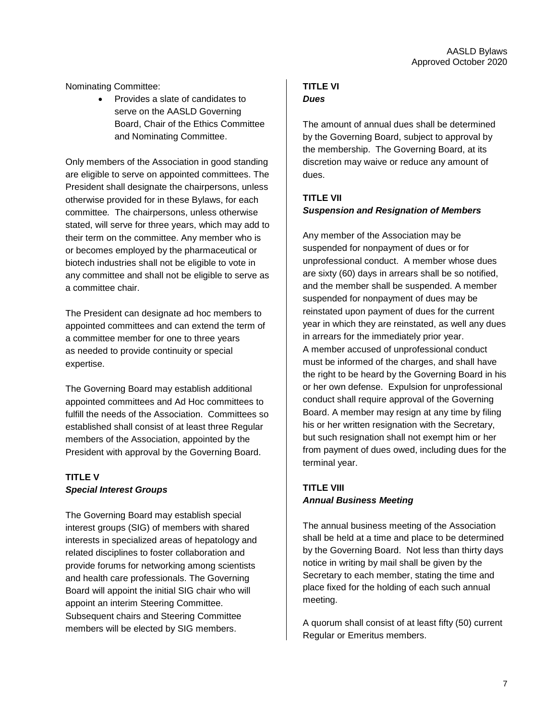Nominating Committee:

• Provides a slate of candidates to serve on the AASLD Governing Board, Chair of the Ethics Committee and Nominating Committee.

Only members of the Association in good standing are eligible to serve on appointed committees. The President shall designate the chairpersons, unless otherwise provided for in these Bylaws, for each committee*.* The chairpersons, unless otherwise stated, will serve for three years, which may add to their term on the committee. Any member who is or becomes employed by the pharmaceutical or biotech industries shall not be eligible to vote in any committee and shall not be eligible to serve as a committee chair.

The President can designate ad hoc members to appointed committees and can extend the term of a committee member for one to three years as needed to provide continuity or special expertise.

The Governing Board may establish additional appointed committees and Ad Hoc committees to fulfill the needs of the Association. Committees so established shall consist of at least three Regular members of the Association, appointed by the President with approval by the Governing Board.

## **TITLE V** *Special Interest Groups*

The Governing Board may establish special interest groups (SIG) of members with shared interests in specialized areas of hepatology and related disciplines to foster collaboration and provide forums for networking among scientists and health care professionals. The Governing Board will appoint the initial SIG chair who will appoint an interim Steering Committee. Subsequent chairs and Steering Committee members will be elected by SIG members.

## **TITLE VI**  *Dues*

The amount of annual dues shall be determined by the Governing Board, subject to approval by the membership. The Governing Board, at its discretion may waive or reduce any amount of dues.

## **TITLE VII**  *Suspension and Resignation of Members*

Any member of the Association may be suspended for nonpayment of dues or for unprofessional conduct. A member whose dues are sixty (60) days in arrears shall be so notified, and the member shall be suspended. A member suspended for nonpayment of dues may be reinstated upon payment of dues for the current year in which they are reinstated, as well any dues in arrears for the immediately prior year. A member accused of unprofessional conduct must be informed of the charges, and shall have the right to be heard by the Governing Board in his or her own defense. Expulsion for unprofessional conduct shall require approval of the Governing Board. A member may resign at any time by filing his or her written resignation with the Secretary, but such resignation shall not exempt him or her from payment of dues owed, including dues for the terminal year.

## **TITLE VIII** *Annual Business Meeting*

The annual business meeting of the Association shall be held at a time and place to be determined by the Governing Board. Not less than thirty days notice in writing by mail shall be given by the Secretary to each member, stating the time and place fixed for the holding of each such annual meeting.

A quorum shall consist of at least fifty (50) current Regular or Emeritus members.